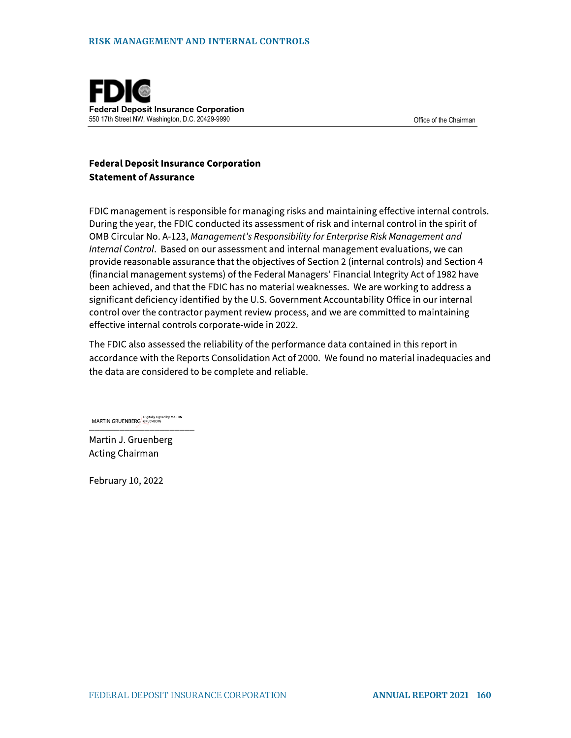

#### **Federal Deposit Insurance Corporation Statement of Assurance**

FDIC management is responsible for managing risks and maintaining effective internal controls. During the year, the FDIC conducted its assessment of risk and internal control in the spirit of OMB Circular No. A-123, Management's Responsibility for Enterprise Risk Management and Internal Control. Based on our assessment and internal management evaluations, we can provide reasonable assurance that the objectives of Section 2 (internal controls) and Section 4 (financial management systems) of the Federal Managers' Financial Integrity Act of 1982 have been achieved, and that the FDIC has no material weaknesses. We are working to address a significant deficiency identified by the U.S. Government Accountability Office in our internal control over the contractor payment review process, and we are committed to maintaining effective internal controls corporate-wide in 2022.

The FDIC also assessed the reliability of the performance data contained in this report in accordance with the Reports Consolidation Act of 2000. We found no material inadequacies and the data are considered to be complete and reliable.

MARTIN GRUENBERG GRUENBERG

Martin J. Gruenberg Acting Chairman

February 10, 2022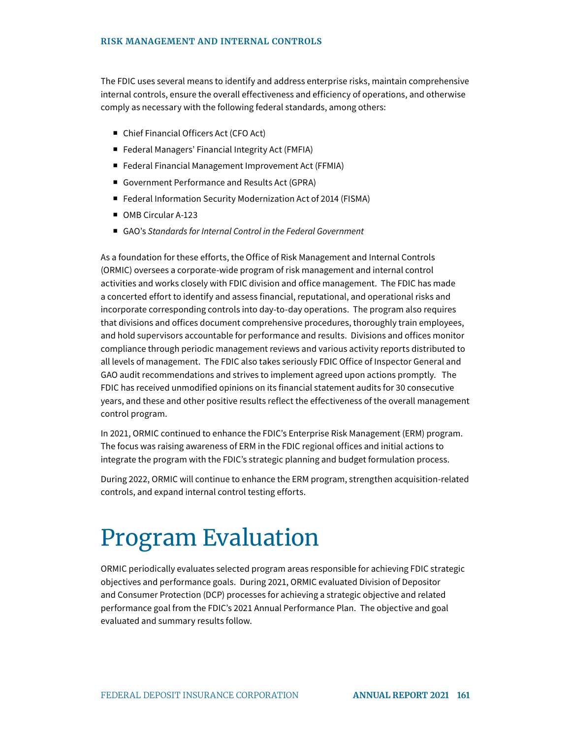The FDIC uses several means to identify and address enterprise risks, maintain comprehensive internal controls, ensure the overall effectiveness and efficiency of operations, and otherwise comply as necessary with the following federal standards, among others:

- Chief Financial Officers Act (CFO Act)
- Federal Managers' Financial Integrity Act (FMFIA)
- Federal Financial Management Improvement Act (FFMIA)
- Government Performance and Results Act (GPRA)
- Federal Information Security Modernization Act of 2014 (FISMA)
- OMB Circular A-123
- GAO's Standards for Internal Control in the Federal Government

As a foundation for these efforts, the Office of Risk Management and Internal Controls (ORMIC) oversees a corporate-wide program of risk management and internal control activities and works closely with FDIC division and office management. The FDIC has made a concerted effort to identify and assess financial, reputational, and operational risks and incorporate corresponding controls into day-to-day operations. The program also requires that divisions and offices document comprehensive procedures, thoroughly train employees, and hold supervisors accountable for performance and results. Divisions and offices monitor compliance through periodic management reviews and various activity reports distributed to all levels of management. The FDIC also takes seriously FDIC Office of Inspector General and GAO audit recommendations and strives to implement agreed upon actions promptly. The FDIC has received unmodified opinions on its financial statement audits for 30 consecutive years, and these and other positive results reflect the effectiveness of the overall management control program.

In 2021, ORMIC continued to enhance the FDIC's Enterprise Risk Management (ERM) program. The focus was raising awareness of ERM in the FDIC regional offices and initial actions to integrate the program with the FDIC's strategic planning and budget formulation process.

During 2022, ORMIC will continue to enhance the ERM program, strengthen acquisition-related controls, and expand internal control testing efforts.

# Program Evaluation

ORMIC periodically evaluates selected program areas responsible for achieving FDIC strategic objectives and performance goals. During 2021, ORMIC evaluated Division of Depositor and Consumer Protection (DCP) processes for achieving a strategic objective and related performance goal from the FDIC's 2021 Annual Performance Plan. The objective and goal evaluated and summary results follow.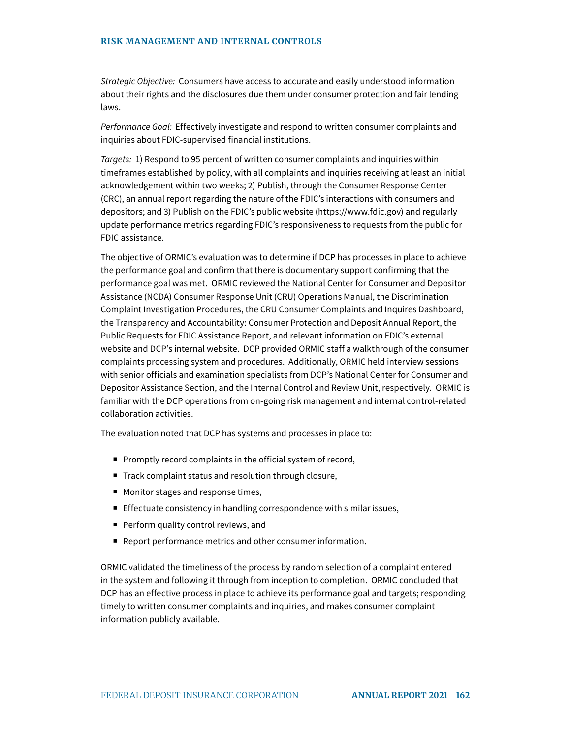Strategic Objective: Consumers have access to accurate and easily understood information about their rights and the disclosures due them under consumer protection and fair lending laws.

Performance Goal: Effectively investigate and respond to written consumer complaints and inquiries about FDIC-supervised financial institutions.

Targets: 1) Respond to 95 percent of written consumer complaints and inquiries within timeframes established by policy, with all complaints and inquiries receiving at least an initial acknowledgement within two weeks; 2) Publish, through the Consumer Response Center (CRC), an annual report regarding the nature of the FDIC's interactions with consumers and depositors; and 3) Publish on the FDIC's public website [\(https://www.fdic.gov](https://www.fdic.gov)) and regularly update performance metrics regarding FDIC's responsiveness to requests from the public for FDIC assistance.

The objective of ORMIC's evaluation was to determine if DCP has processes in place to achieve the performance goal and confirm that there is documentary support confirming that the performance goal was met. ORMIC reviewed the National Center for Consumer and Depositor Assistance (NCDA) Consumer Response Unit (CRU) Operations Manual, the Discrimination Complaint Investigation Procedures, the CRU Consumer Complaints and Inquires Dashboard, the Transparency and Accountability: Consumer Protection and Deposit Annual Report, the Public Requests for FDIC Assistance Report, and relevant information on FDIC's external website and DCP's internal website. DCP provided ORMIC staff a walkthrough of the consumer complaints processing system and procedures. Additionally, ORMIC held interview sessions with senior officials and examination specialists from DCP's National Center for Consumer and Depositor Assistance Section, and the Internal Control and Review Unit, respectively. ORMIC is familiar with the DCP operations from on-going risk management and internal control-related collaboration activities.

The evaluation noted that DCP has systems and processes in place to:

- Promptly record complaints in the official system of record,
- Track complaint status and resolution through closure,
- Monitor stages and response times,
- Effectuate consistency in handling correspondence with similar issues,
- Perform quality control reviews, and
- Report performance metrics and other consumer information.

ORMIC validated the timeliness of the process by random selection of a complaint entered in the system and following it through from inception to completion. ORMIC concluded that DCP has an effective process in place to achieve its performance goal and targets; responding timely to written consumer complaints and inquiries, and makes consumer complaint information publicly available.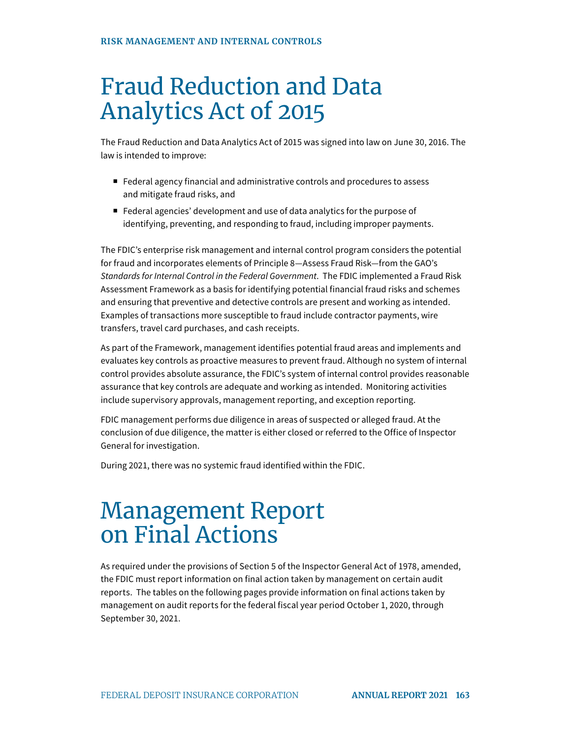## Fraud Reduction and Data Analytics Act of 2015

The Fraud Reduction and Data Analytics Act of 2015 was signed into law on June 30, 2016. The law is intended to improve:

- Federal agency financial and administrative controls and procedures to assess and mitigate fraud risks, and
- Federal agencies' development and use of data analytics for the purpose of identifying, preventing, and responding to fraud, including improper payments.

The FDIC's enterprise risk management and internal control program considers the potential for fraud and incorporates elements of Principle 8—Assess Fraud Risk—from the GAO's Standards for Internal Control in the Federal Government. The FDIC implemented a Fraud Risk Assessment Framework as a basis for identifying potential financial fraud risks and schemes and ensuring that preventive and detective controls are present and working as intended. Examples of transactions more susceptible to fraud include contractor payments, wire transfers, travel card purchases, and cash receipts.

As part of the Framework, management identifies potential fraud areas and implements and evaluates key controls as proactive measures to prevent fraud. Although no system of internal control provides absolute assurance, the FDIC's system of internal control provides reasonable assurance that key controls are adequate and working as intended. Monitoring activities include supervisory approvals, management reporting, and exception reporting.

FDIC management performs due diligence in areas of suspected or alleged fraud. At the conclusion of due diligence, the matter is either closed or referred to the Office of Inspector General for investigation.

During 2021, there was no systemic fraud identified within the FDIC.

## Management Report on Final Actions

As required under the provisions of Section 5 of the Inspector General Act of 1978, amended, the FDIC must report information on final action taken by management on certain audit reports. The tables on the following pages provide information on final actions taken by management on audit reports for the federal fiscal year period October 1, 2020, through September 30, 2021.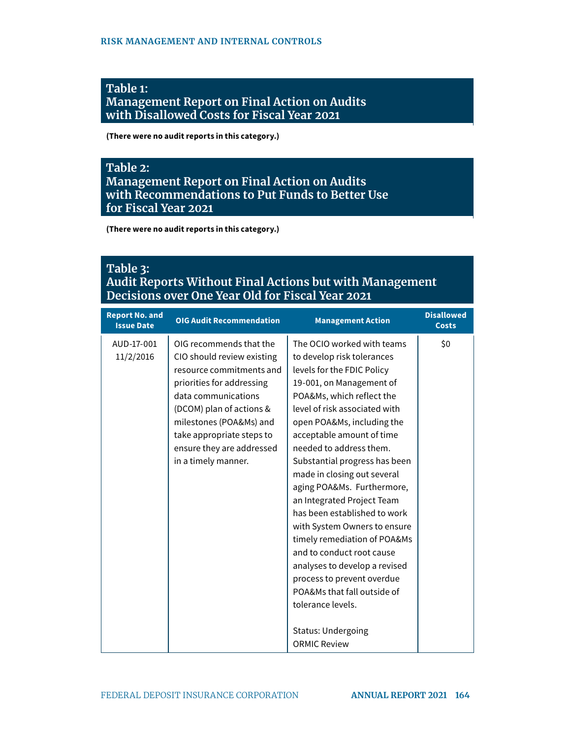#### **Table 1: Management Report on Final Action on Audits with Disallowed Costs for Fiscal Year 2021**

**(There were no audit reports in this category.)** 

#### **Table 2: Management Report on Final Action on Audits with Recommendations to Put Funds to Better Use for Fiscal Year 2021**

**(There were no audit reports in this category.)** 

| <b>Report No. and</b><br><b>Issue Date</b> | <b>OIG Audit Recommendation</b>                                                                                                                                                                                                                                               | <b>Management Action</b>                                                                                                                                                                                                                                                                                                                                                                                                                                                                                                                                                                                                                                                                               | <b>Disallowed</b><br><b>Costs</b> |
|--------------------------------------------|-------------------------------------------------------------------------------------------------------------------------------------------------------------------------------------------------------------------------------------------------------------------------------|--------------------------------------------------------------------------------------------------------------------------------------------------------------------------------------------------------------------------------------------------------------------------------------------------------------------------------------------------------------------------------------------------------------------------------------------------------------------------------------------------------------------------------------------------------------------------------------------------------------------------------------------------------------------------------------------------------|-----------------------------------|
| AUD-17-001<br>11/2/2016                    | OIG recommends that the<br>CIO should review existing<br>resource commitments and<br>priorities for addressing<br>data communications<br>(DCOM) plan of actions &<br>milestones (POA&Ms) and<br>take appropriate steps to<br>ensure they are addressed<br>in a timely manner. | The OCIO worked with teams<br>to develop risk tolerances<br>levels for the FDIC Policy<br>19-001, on Management of<br>POA&Ms, which reflect the<br>level of risk associated with<br>open POA&Ms, including the<br>acceptable amount of time<br>needed to address them.<br>Substantial progress has been<br>made in closing out several<br>aging POA&Ms. Furthermore,<br>an Integrated Project Team<br>has been established to work<br>with System Owners to ensure<br>timely remediation of POA&Ms<br>and to conduct root cause<br>analyses to develop a revised<br>process to prevent overdue<br>POA&Ms that fall outside of<br>tolerance levels.<br><b>Status: Undergoing</b><br><b>ORMIC Review</b> | \$0                               |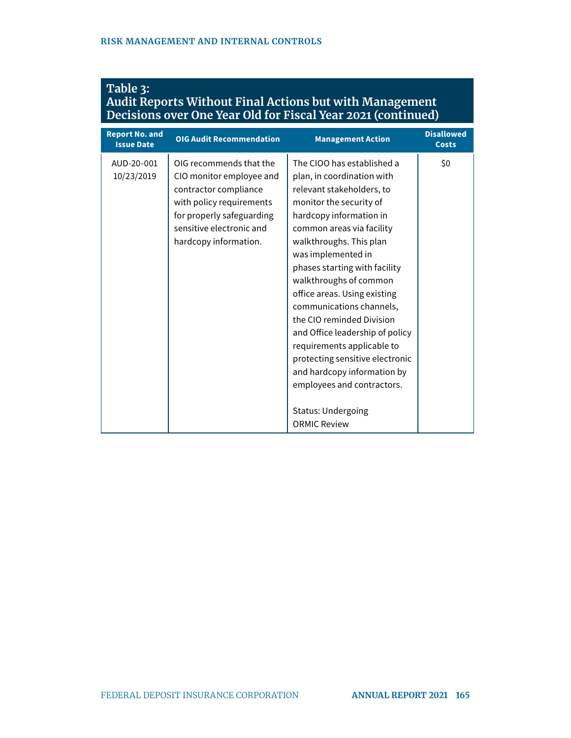| <b>Report No. and</b><br><b>Issue Date</b> | <b>OIG Audit Recommendation</b>                                                                                                                                                            | <b>Management Action</b>                                                                                                                                                                                                                                                                                                                                                                                                                                                                                                                                                                           | <b>Disallowed</b><br><b>Costs</b> |
|--------------------------------------------|--------------------------------------------------------------------------------------------------------------------------------------------------------------------------------------------|----------------------------------------------------------------------------------------------------------------------------------------------------------------------------------------------------------------------------------------------------------------------------------------------------------------------------------------------------------------------------------------------------------------------------------------------------------------------------------------------------------------------------------------------------------------------------------------------------|-----------------------------------|
| AUD-20-001<br>10/23/2019                   | OIG recommends that the<br>CIO monitor employee and<br>contractor compliance<br>with policy requirements<br>for properly safeguarding<br>sensitive electronic and<br>hardcopy information. | The CIOO has established a<br>plan, in coordination with<br>relevant stakeholders, to<br>monitor the security of<br>hardcopy information in<br>common areas via facility<br>walkthroughs. This plan<br>was implemented in<br>phases starting with facility<br>walkthroughs of common<br>office areas. Using existing<br>communications channels,<br>the CIO reminded Division<br>and Office leadership of policy<br>requirements applicable to<br>protecting sensitive electronic<br>and hardcopy information by<br>employees and contractors.<br><b>Status: Undergoing</b><br><b>ORMIC Review</b> | \$0                               |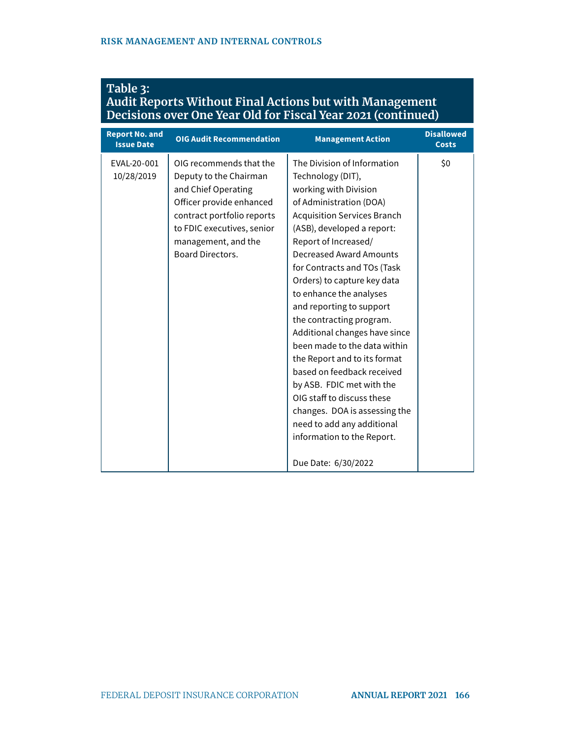| <b>Report No. and</b><br><b>Issue Date</b> | <b>OIG Audit Recommendation</b>                                                                                                                                                                                    | <b>Management Action</b>                                                                                                                                                                                                                                                                                                                                                                                                                                                                                                                                                                                                                                                                          | <b>Disallowed</b><br><b>Costs</b> |
|--------------------------------------------|--------------------------------------------------------------------------------------------------------------------------------------------------------------------------------------------------------------------|---------------------------------------------------------------------------------------------------------------------------------------------------------------------------------------------------------------------------------------------------------------------------------------------------------------------------------------------------------------------------------------------------------------------------------------------------------------------------------------------------------------------------------------------------------------------------------------------------------------------------------------------------------------------------------------------------|-----------------------------------|
| EVAL-20-001<br>10/28/2019                  | OIG recommends that the<br>Deputy to the Chairman<br>and Chief Operating<br>Officer provide enhanced<br>contract portfolio reports<br>to FDIC executives, senior<br>management, and the<br><b>Board Directors.</b> | The Division of Information<br>Technology (DIT),<br>working with Division<br>of Administration (DOA)<br><b>Acquisition Services Branch</b><br>(ASB), developed a report:<br>Report of Increased/<br><b>Decreased Award Amounts</b><br>for Contracts and TOs (Task<br>Orders) to capture key data<br>to enhance the analyses<br>and reporting to support<br>the contracting program.<br>Additional changes have since<br>been made to the data within<br>the Report and to its format<br>based on feedback received<br>by ASB. FDIC met with the<br>OIG staff to discuss these<br>changes. DOA is assessing the<br>need to add any additional<br>information to the Report.<br>Due Date: 6/30/2022 | \$0                               |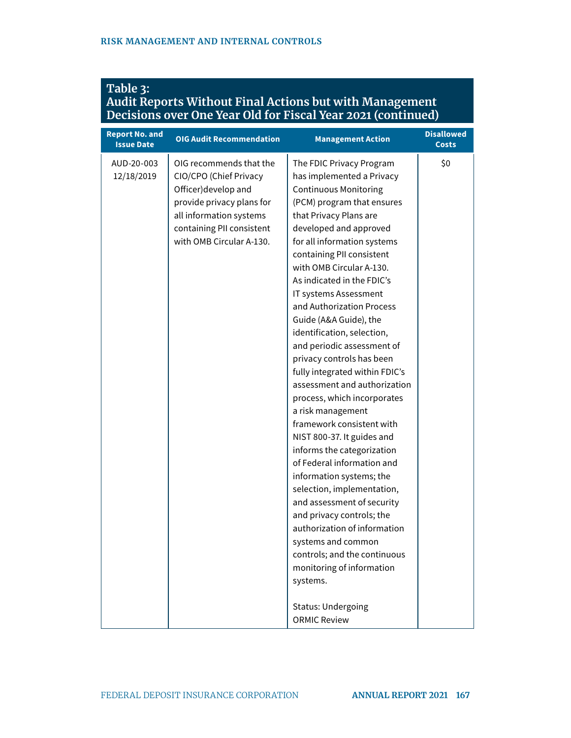|                                            |                                 | Decisions over One Teal Old for Fiscal Teal 2021 (Continued) |                                   |
|--------------------------------------------|---------------------------------|--------------------------------------------------------------|-----------------------------------|
| <b>Report No. and</b><br><b>Issue Date</b> | <b>OIG Audit Recommendation</b> | <b>Management Action</b>                                     | <b>Disallowed</b><br><b>Costs</b> |
| AUD-20-003                                 | OIG recommends that the         | The FDIC Privacy Program                                     | \$0                               |
| 12/18/2019                                 | CIO/CPO (Chief Privacy          | has implemented a Privacy                                    |                                   |
|                                            | Officer) develop and            | <b>Continuous Monitoring</b>                                 |                                   |
|                                            | provide privacy plans for       | (PCM) program that ensures                                   |                                   |
|                                            | all information systems         | that Privacy Plans are                                       |                                   |
|                                            | containing PII consistent       | developed and approved                                       |                                   |
|                                            | with OMB Circular A-130.        | for all information systems                                  |                                   |
|                                            |                                 | containing PII consistent                                    |                                   |
|                                            |                                 | with OMB Circular A-130.                                     |                                   |
|                                            |                                 | As indicated in the FDIC's                                   |                                   |
|                                            |                                 | IT systems Assessment                                        |                                   |
|                                            |                                 | and Authorization Process                                    |                                   |
|                                            |                                 | Guide (A&A Guide), the                                       |                                   |
|                                            |                                 | identification, selection,                                   |                                   |
|                                            |                                 | and periodic assessment of                                   |                                   |
|                                            |                                 | privacy controls has been                                    |                                   |
|                                            |                                 | fully integrated within FDIC's                               |                                   |
|                                            |                                 | assessment and authorization                                 |                                   |
|                                            |                                 | process, which incorporates                                  |                                   |
|                                            |                                 | a risk management                                            |                                   |
|                                            |                                 | framework consistent with                                    |                                   |
|                                            |                                 | NIST 800-37. It guides and                                   |                                   |
|                                            |                                 | informs the categorization                                   |                                   |
|                                            |                                 | of Federal information and                                   |                                   |
|                                            |                                 | information systems; the                                     |                                   |
|                                            |                                 | selection, implementation,                                   |                                   |
|                                            |                                 | and assessment of security                                   |                                   |
|                                            |                                 | and privacy controls; the                                    |                                   |
|                                            |                                 | authorization of information                                 |                                   |
|                                            |                                 | systems and common                                           |                                   |
|                                            |                                 | controls; and the continuous                                 |                                   |
|                                            |                                 | monitoring of information                                    |                                   |
|                                            |                                 | systems.                                                     |                                   |
|                                            |                                 | <b>Status: Undergoing</b>                                    |                                   |
|                                            |                                 | <b>ORMIC Review</b>                                          |                                   |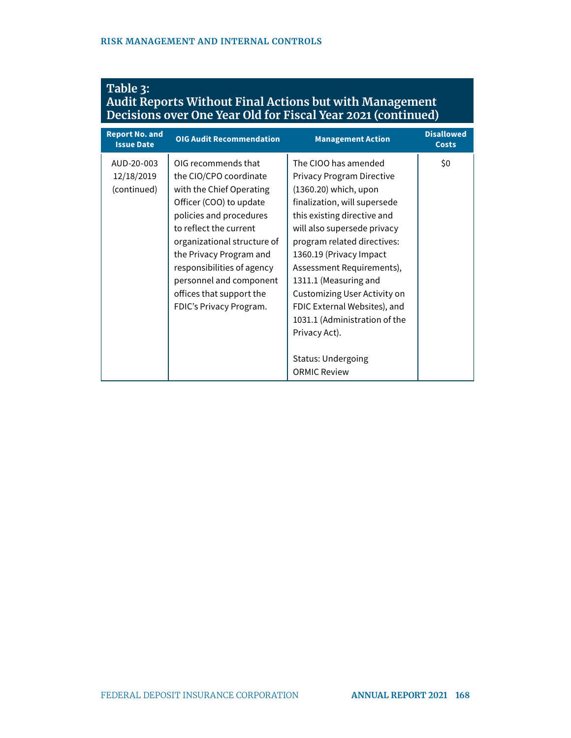| <b>Report No. and</b><br><b>Issue Date</b> | <b>OIG Audit Recommendation</b>                                                                                                                                                                                                                                                                                                     | <b>Management Action</b>                                                                                                                                                                                                                                                                                                                                                                                                                                       | <b>Disallowed</b><br><b>Costs</b> |
|--------------------------------------------|-------------------------------------------------------------------------------------------------------------------------------------------------------------------------------------------------------------------------------------------------------------------------------------------------------------------------------------|----------------------------------------------------------------------------------------------------------------------------------------------------------------------------------------------------------------------------------------------------------------------------------------------------------------------------------------------------------------------------------------------------------------------------------------------------------------|-----------------------------------|
| AUD-20-003<br>12/18/2019<br>(continued)    | OIG recommends that<br>the CIO/CPO coordinate<br>with the Chief Operating<br>Officer (COO) to update<br>policies and procedures<br>to reflect the current<br>organizational structure of<br>the Privacy Program and<br>responsibilities of agency<br>personnel and component<br>offices that support the<br>FDIC's Privacy Program. | The CIOO has amended<br>Privacy Program Directive<br>(1360.20) which, upon<br>finalization, will supersede<br>this existing directive and<br>will also supersede privacy<br>program related directives:<br>1360.19 (Privacy Impact<br>Assessment Requirements),<br>1311.1 (Measuring and<br>Customizing User Activity on<br>FDIC External Websites), and<br>1031.1 (Administration of the<br>Privacy Act).<br><b>Status: Undergoing</b><br><b>ORMIC Review</b> | \$0                               |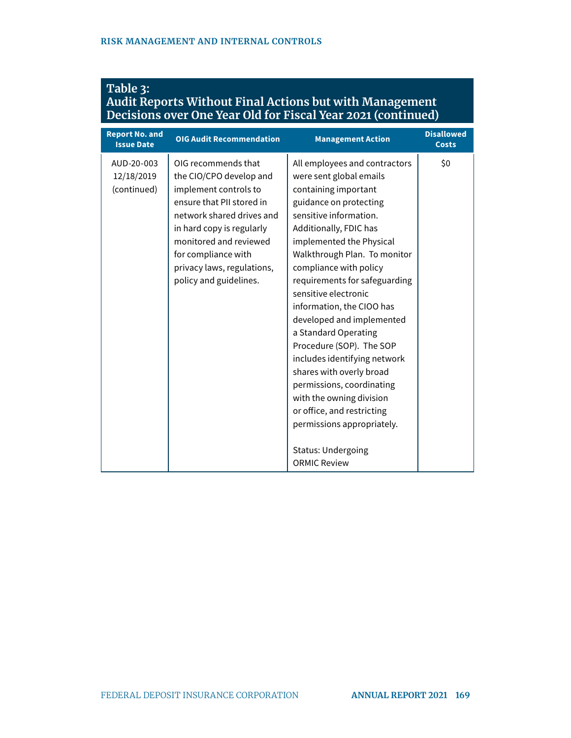| <b>Table 3:</b>                                              |  |
|--------------------------------------------------------------|--|
| Audit Reports Without Final Actions but with Management      |  |
| Decisions over One Year Old for Fiscal Year 2021 (continued) |  |

| <b>Report No. and</b><br><b>Issue Date</b> | <b>OIG Audit Recommendation</b>                                                                                                                                                                                                                                         | <b>Management Action</b>                                                                                                                                                                                                                                                                                                                                                                                                                                                                                                                                                                                                                                         | <b>Disallowed</b><br><b>Costs</b> |
|--------------------------------------------|-------------------------------------------------------------------------------------------------------------------------------------------------------------------------------------------------------------------------------------------------------------------------|------------------------------------------------------------------------------------------------------------------------------------------------------------------------------------------------------------------------------------------------------------------------------------------------------------------------------------------------------------------------------------------------------------------------------------------------------------------------------------------------------------------------------------------------------------------------------------------------------------------------------------------------------------------|-----------------------------------|
| AUD-20-003<br>12/18/2019<br>(continued)    | OIG recommends that<br>the CIO/CPO develop and<br>implement controls to<br>ensure that PII stored in<br>network shared drives and<br>in hard copy is regularly<br>monitored and reviewed<br>for compliance with<br>privacy laws, regulations,<br>policy and guidelines. | All employees and contractors<br>were sent global emails<br>containing important<br>guidance on protecting<br>sensitive information.<br>Additionally, FDIC has<br>implemented the Physical<br>Walkthrough Plan. To monitor<br>compliance with policy<br>requirements for safeguarding<br>sensitive electronic<br>information, the CIOO has<br>developed and implemented<br>a Standard Operating<br>Procedure (SOP). The SOP<br>includes identifying network<br>shares with overly broad<br>permissions, coordinating<br>with the owning division<br>or office, and restricting<br>permissions appropriately.<br><b>Status: Undergoing</b><br><b>ORMIC Review</b> | \$0                               |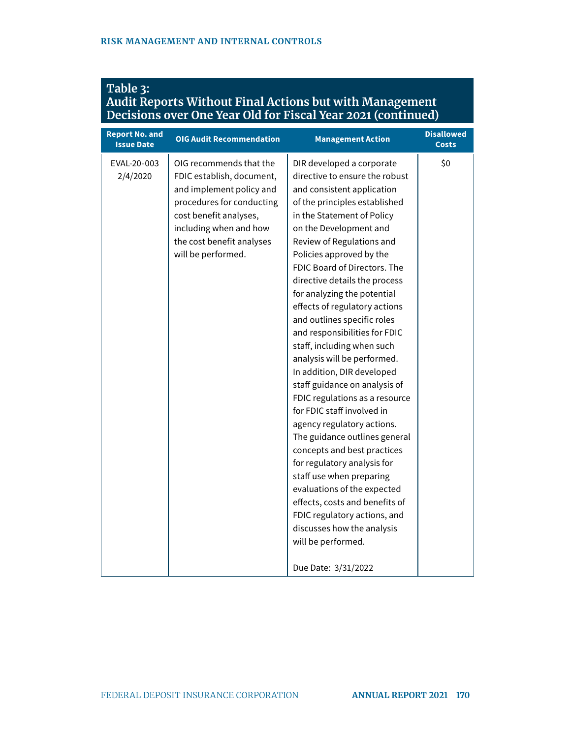| Decisions over One fear Old for Fiscal fear 2021 (continued) |                                                                                                                                                                                                                      |                                                                                                                                                                                                                                                                                                                                                                                                                                                                                                                                                                                                                                                                                                                                                                                                                                                                                                                                                                               |                                   |
|--------------------------------------------------------------|----------------------------------------------------------------------------------------------------------------------------------------------------------------------------------------------------------------------|-------------------------------------------------------------------------------------------------------------------------------------------------------------------------------------------------------------------------------------------------------------------------------------------------------------------------------------------------------------------------------------------------------------------------------------------------------------------------------------------------------------------------------------------------------------------------------------------------------------------------------------------------------------------------------------------------------------------------------------------------------------------------------------------------------------------------------------------------------------------------------------------------------------------------------------------------------------------------------|-----------------------------------|
| <b>Report No. and</b><br><b>Issue Date</b>                   | <b>OIG Audit Recommendation</b>                                                                                                                                                                                      | <b>Management Action</b>                                                                                                                                                                                                                                                                                                                                                                                                                                                                                                                                                                                                                                                                                                                                                                                                                                                                                                                                                      | <b>Disallowed</b><br><b>Costs</b> |
| EVAL-20-003<br>2/4/2020                                      | OIG recommends that the<br>FDIC establish, document,<br>and implement policy and<br>procedures for conducting<br>cost benefit analyses,<br>including when and how<br>the cost benefit analyses<br>will be performed. | DIR developed a corporate<br>directive to ensure the robust<br>and consistent application<br>of the principles established<br>in the Statement of Policy<br>on the Development and<br>Review of Regulations and<br>Policies approved by the<br>FDIC Board of Directors. The<br>directive details the process<br>for analyzing the potential<br>effects of regulatory actions<br>and outlines specific roles<br>and responsibilities for FDIC<br>staff, including when such<br>analysis will be performed.<br>In addition, DIR developed<br>staff guidance on analysis of<br>FDIC regulations as a resource<br>for FDIC staff involved in<br>agency regulatory actions.<br>The guidance outlines general<br>concepts and best practices<br>for regulatory analysis for<br>staff use when preparing<br>evaluations of the expected<br>effects, costs and benefits of<br>FDIC regulatory actions, and<br>discusses how the analysis<br>will be performed.<br>Due Date: 3/31/2022 | \$0                               |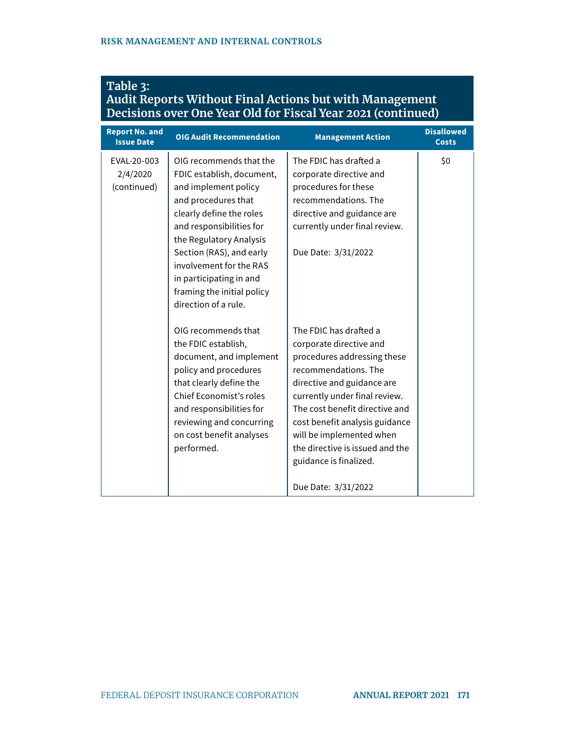| <b>Report No. and</b><br><b>Issue Date</b> | <b>OIG Audit Recommendation</b>                                                                                                                                                                                                                                                                                                | <b>Management Action</b>                                                                                                                                                                                                                                                                                                                                    | <b>Disallowed</b><br><b>Costs</b> |
|--------------------------------------------|--------------------------------------------------------------------------------------------------------------------------------------------------------------------------------------------------------------------------------------------------------------------------------------------------------------------------------|-------------------------------------------------------------------------------------------------------------------------------------------------------------------------------------------------------------------------------------------------------------------------------------------------------------------------------------------------------------|-----------------------------------|
| EVAL-20-003<br>2/4/2020<br>(continued)     | OIG recommends that the<br>FDIC establish, document,<br>and implement policy<br>and procedures that<br>clearly define the roles<br>and responsibilities for<br>the Regulatory Analysis<br>Section (RAS), and early<br>involvement for the RAS<br>in participating in and<br>framing the initial policy<br>direction of a rule. | The FDIC has drafted a<br>corporate directive and<br>procedures for these<br>recommendations. The<br>directive and guidance are<br>currently under final review.<br>Due Date: 3/31/2022                                                                                                                                                                     | \$0                               |
|                                            | OIG recommends that<br>the FDIC establish,<br>document, and implement<br>policy and procedures<br>that clearly define the<br>Chief Economist's roles<br>and responsibilities for<br>reviewing and concurring<br>on cost benefit analyses<br>performed.                                                                         | The FDIC has drafted a<br>corporate directive and<br>procedures addressing these<br>recommendations. The<br>directive and guidance are<br>currently under final review.<br>The cost benefit directive and<br>cost benefit analysis guidance<br>will be implemented when<br>the directive is issued and the<br>guidance is finalized.<br>Due Date: 3/31/2022 |                                   |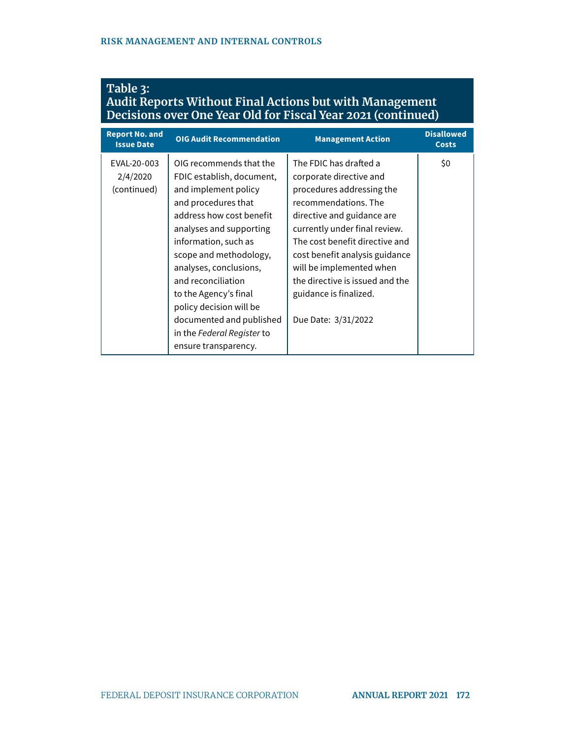| <b>Report No. and</b><br><b>Issue Date</b> | <b>OIG Audit Recommendation</b>                                                                                                                                                                                                                                                                                                                                                                    | <b>Management Action</b>                                                                                                                                                                                                                                                                                                                                  | <b>Disallowed</b><br><b>Costs</b> |
|--------------------------------------------|----------------------------------------------------------------------------------------------------------------------------------------------------------------------------------------------------------------------------------------------------------------------------------------------------------------------------------------------------------------------------------------------------|-----------------------------------------------------------------------------------------------------------------------------------------------------------------------------------------------------------------------------------------------------------------------------------------------------------------------------------------------------------|-----------------------------------|
| EVAL-20-003<br>2/4/2020<br>(continued)     | OIG recommends that the<br>FDIC establish, document,<br>and implement policy<br>and procedures that<br>address how cost benefit<br>analyses and supporting<br>information, such as<br>scope and methodology,<br>analyses, conclusions,<br>and reconciliation<br>to the Agency's final<br>policy decision will be<br>documented and published<br>in the Federal Register to<br>ensure transparency. | The FDIC has drafted a<br>corporate directive and<br>procedures addressing the<br>recommendations. The<br>directive and guidance are<br>currently under final review.<br>The cost benefit directive and<br>cost benefit analysis guidance<br>will be implemented when<br>the directive is issued and the<br>guidance is finalized.<br>Due Date: 3/31/2022 | \$0                               |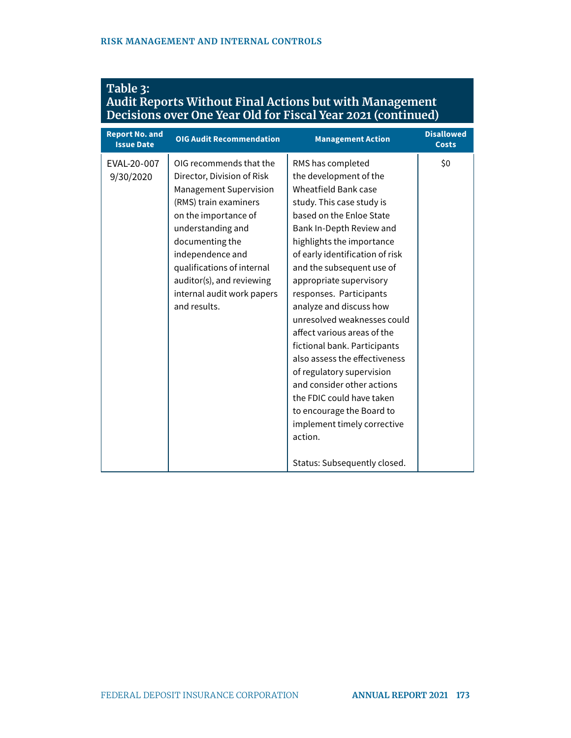| Decisions over One Year Old for Fiscal Year 2021 (continued) |                                                                                                                                                                                                                                                                                                              |                                                                                                                                                                                                                                                                                                                                                                                                                                                                                                                                                                                                                                                                             |                                   |
|--------------------------------------------------------------|--------------------------------------------------------------------------------------------------------------------------------------------------------------------------------------------------------------------------------------------------------------------------------------------------------------|-----------------------------------------------------------------------------------------------------------------------------------------------------------------------------------------------------------------------------------------------------------------------------------------------------------------------------------------------------------------------------------------------------------------------------------------------------------------------------------------------------------------------------------------------------------------------------------------------------------------------------------------------------------------------------|-----------------------------------|
| <b>Report No. and</b><br><b>Issue Date</b>                   | <b>OIG Audit Recommendation</b>                                                                                                                                                                                                                                                                              | <b>Management Action</b>                                                                                                                                                                                                                                                                                                                                                                                                                                                                                                                                                                                                                                                    | <b>Disallowed</b><br><b>Costs</b> |
| EVAL-20-007<br>9/30/2020                                     | OIG recommends that the<br>Director, Division of Risk<br><b>Management Supervision</b><br>(RMS) train examiners<br>on the importance of<br>understanding and<br>documenting the<br>independence and<br>qualifications of internal<br>auditor(s), and reviewing<br>internal audit work papers<br>and results. | RMS has completed<br>the development of the<br><b>Wheatfield Bank case</b><br>study. This case study is<br>based on the Enloe State<br>Bank In-Depth Review and<br>highlights the importance<br>of early identification of risk<br>and the subsequent use of<br>appropriate supervisory<br>responses. Participants<br>analyze and discuss how<br>unresolved weaknesses could<br>affect various areas of the<br>fictional bank. Participants<br>also assess the effectiveness<br>of regulatory supervision<br>and consider other actions<br>the FDIC could have taken<br>to encourage the Board to<br>implement timely corrective<br>action.<br>Status: Subsequently closed. | \$0                               |

### **Table 3: Audit Reports Without Final Actions but with Management**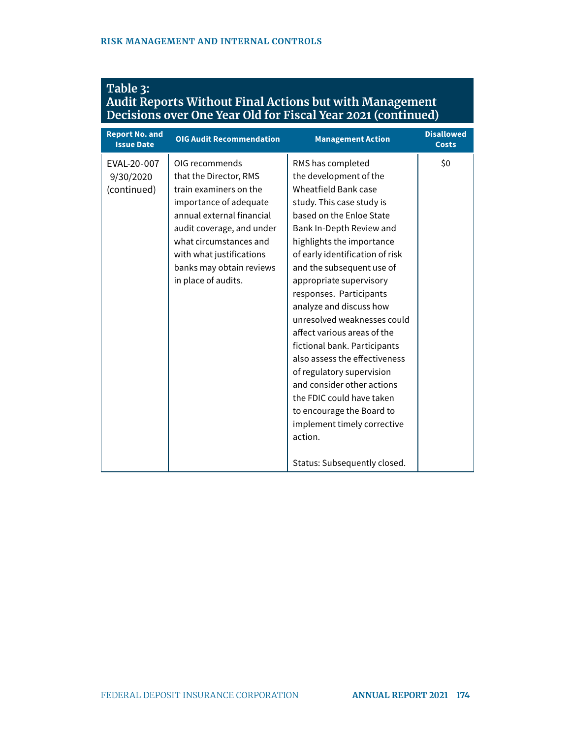|                                            | Decisions over One Year Old for Fiscal Year 2021 (continued)                                                                                                                                                                                                    |                                                                                                                                                                                                                                                                                                                                                                                                                                                                                                                                                                                                                                                                      |                                   |  |  |
|--------------------------------------------|-----------------------------------------------------------------------------------------------------------------------------------------------------------------------------------------------------------------------------------------------------------------|----------------------------------------------------------------------------------------------------------------------------------------------------------------------------------------------------------------------------------------------------------------------------------------------------------------------------------------------------------------------------------------------------------------------------------------------------------------------------------------------------------------------------------------------------------------------------------------------------------------------------------------------------------------------|-----------------------------------|--|--|
| <b>Report No. and</b><br><b>Issue Date</b> | <b>OIG Audit Recommendation</b>                                                                                                                                                                                                                                 | <b>Management Action</b>                                                                                                                                                                                                                                                                                                                                                                                                                                                                                                                                                                                                                                             | <b>Disallowed</b><br><b>Costs</b> |  |  |
| EVAL-20-007<br>9/30/2020<br>(continued)    | OIG recommends<br>that the Director, RMS<br>train examiners on the<br>importance of adequate<br>annual external financial<br>audit coverage, and under<br>what circumstances and<br>with what justifications<br>banks may obtain reviews<br>in place of audits. | RMS has completed<br>the development of the<br>Wheatfield Bank case<br>study. This case study is<br>based on the Enloe State<br>Bank In-Depth Review and<br>highlights the importance<br>of early identification of risk<br>and the subsequent use of<br>appropriate supervisory<br>responses. Participants<br>analyze and discuss how<br>unresolved weaknesses could<br>affect various areas of the<br>fictional bank. Participants<br>also assess the effectiveness<br>of regulatory supervision<br>and consider other actions<br>the FDIC could have taken<br>to encourage the Board to<br>implement timely corrective<br>action.<br>Status: Subsequently closed. | \$0                               |  |  |

## **Table 3: Audit Reports Without Final Actions but with Management**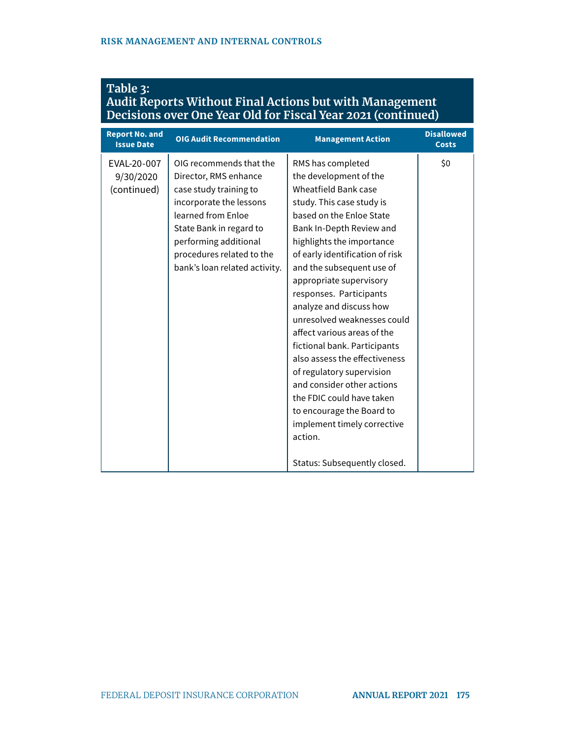| Table 3:                                                     |  |
|--------------------------------------------------------------|--|
| Audit Reports Without Final Actions but with Management      |  |
| Decisions over One Year Old for Fiscal Year 2021 (continued) |  |

| <b>Report No. and</b><br><b>Issue Date</b> | <b>OIG Audit Recommendation</b>                                                                                                                                                                                                               | <b>Management Action</b>                                                                                                                                                                                                                                                                                                                                                                                                                                                                                                                                                                                                                                             | <b>Disallowed</b><br><b>Costs</b> |
|--------------------------------------------|-----------------------------------------------------------------------------------------------------------------------------------------------------------------------------------------------------------------------------------------------|----------------------------------------------------------------------------------------------------------------------------------------------------------------------------------------------------------------------------------------------------------------------------------------------------------------------------------------------------------------------------------------------------------------------------------------------------------------------------------------------------------------------------------------------------------------------------------------------------------------------------------------------------------------------|-----------------------------------|
| EVAL-20-007<br>9/30/2020<br>(continued)    | OIG recommends that the<br>Director, RMS enhance<br>case study training to<br>incorporate the lessons<br>learned from Enloe<br>State Bank in regard to<br>performing additional<br>procedures related to the<br>bank's loan related activity. | RMS has completed<br>the development of the<br>Wheatfield Bank case<br>study. This case study is<br>based on the Enloe State<br>Bank In-Depth Review and<br>highlights the importance<br>of early identification of risk<br>and the subsequent use of<br>appropriate supervisory<br>responses. Participants<br>analyze and discuss how<br>unresolved weaknesses could<br>affect various areas of the<br>fictional bank. Participants<br>also assess the effectiveness<br>of regulatory supervision<br>and consider other actions<br>the FDIC could have taken<br>to encourage the Board to<br>implement timely corrective<br>action.<br>Status: Subsequently closed. | \$0                               |
|                                            |                                                                                                                                                                                                                                               |                                                                                                                                                                                                                                                                                                                                                                                                                                                                                                                                                                                                                                                                      |                                   |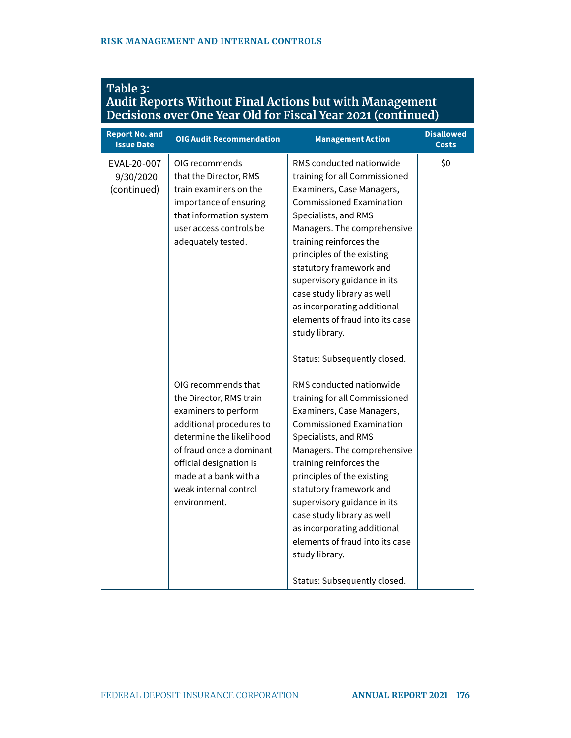| <b>Report No. and</b><br><b>Issue Date</b> | <b>OIG Audit Recommendation</b>                                                                                                                                                                                                                         | <b>Management Action</b>                                                                                                                                                                                                                                                                                                                                                                                                                                                              | <b>Disallowed</b><br><b>Costs</b> |
|--------------------------------------------|---------------------------------------------------------------------------------------------------------------------------------------------------------------------------------------------------------------------------------------------------------|---------------------------------------------------------------------------------------------------------------------------------------------------------------------------------------------------------------------------------------------------------------------------------------------------------------------------------------------------------------------------------------------------------------------------------------------------------------------------------------|-----------------------------------|
| EVAL-20-007<br>9/30/2020<br>(continued)    | OIG recommends<br>that the Director, RMS<br>train examiners on the<br>importance of ensuring<br>that information system<br>user access controls be<br>adequately tested.                                                                                | RMS conducted nationwide<br>training for all Commissioned<br>Examiners, Case Managers,<br><b>Commissioned Examination</b><br>Specialists, and RMS<br>Managers. The comprehensive<br>training reinforces the<br>principles of the existing<br>statutory framework and<br>supervisory guidance in its<br>case study library as well<br>as incorporating additional<br>elements of fraud into its case<br>study library.                                                                 | \$0                               |
|                                            | OIG recommends that<br>the Director, RMS train<br>examiners to perform<br>additional procedures to<br>determine the likelihood<br>of fraud once a dominant<br>official designation is<br>made at a bank with a<br>weak internal control<br>environment. | Status: Subsequently closed.<br>RMS conducted nationwide<br>training for all Commissioned<br>Examiners, Case Managers,<br><b>Commissioned Examination</b><br>Specialists, and RMS<br>Managers. The comprehensive<br>training reinforces the<br>principles of the existing<br>statutory framework and<br>supervisory guidance in its<br>case study library as well<br>as incorporating additional<br>elements of fraud into its case<br>study library.<br>Status: Subsequently closed. |                                   |